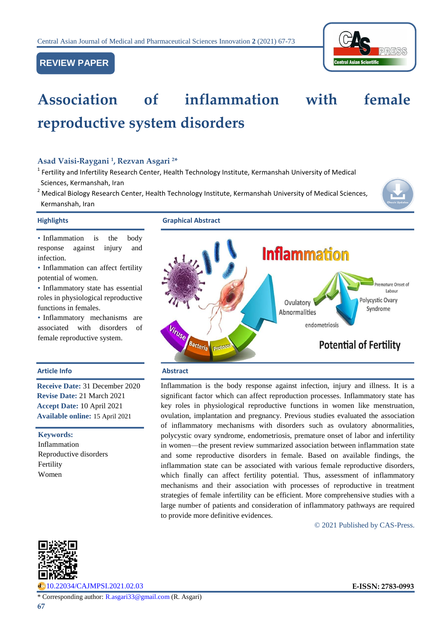# **REVIEW PAPER**



# **Association of inflammation with female reproductive system disorders**

## **Asad Vaisi-Raygani <sup>1</sup> , Rezvan Asgari <sup>2</sup>\***

- <sup>1</sup> Fertility and Infertility Research Center, Health Technology Institute, Kermanshah University of Medical Sciences, Kermanshah, Iran
- <sup>2</sup> Medical Biology Research Center, Health Technology Institute, Kermanshah University of Medical Sciences, Kermanshah, Iran



**Highlights Graphical Abstract**

• Inflammation is the body response against injury and infection.

• Inflammation can affect fertility potential of women.

• Inflammatory state has essential roles in physiological reproductive functions in females.

• Inflammatory mechanisms are associated with disorders of female reproductive system.

### **Article Info Abstract**

**Receive Date:** 31 December 2020 **Revise Date:** 21 March 2021 **Accept Date:** 10 April 2021 **Available online:** 15 April 2021

#### **Keywords:**

Inflammation Reproductive disorders Fertility Women



Inflammation is the body response against infection, injury and illness. It is a significant factor which can affect reproduction processes. Inflammatory state has key roles in physiological reproductive functions in women like menstruation, ovulation, implantation and pregnancy. Previous studies evaluated the association of inflammatory mechanisms with disorders such as ovulatory abnormalities, polycystic ovary syndrome, endometriosis, premature onset of labor and infertility in women—the present review summarized association between inflammation state and some reproductive disorders in female. Based on available findings, the inflammation state can be associated with various female reproductive disorders, which finally can affect fertility potential. Thus, assessment of inflammatory mechanisms and their association with processes of reproductive in treatment strategies of female infertility can be efficient. More comprehensive studies with a large number of patients and consideration of inflammatory pathways are required to provide more definitive evidences.

© 2021 Published by CAS-Press.



[10.22034/CAJMPSI.2021.02.03](http://www.cajmpsi.com/article_129822.html) **E-ISSN: 2783-0993**

\* Corresponding author: [R.asgari33@gmail.com](mailto:R.asgari33@gmail.com) (R. Asgari)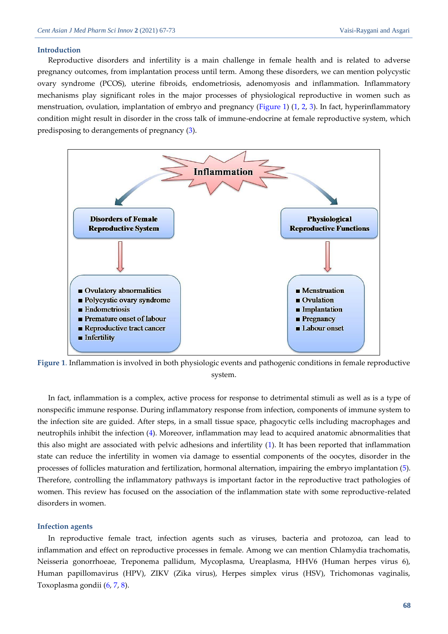#### **Introduction**

Reproductive disorders and infertility is a main challenge in female health and is related to adverse pregnancy outcomes, from implantation process until term. Among these disorders, we can mention polycystic ovary syndrome (PCOS), uterine fibroids, endometriosis, adenomyosis and inflammation. Inflammatory mechanisms play significant roles in the major processes of physiological reproductive in women such as menstruation, ovulation, implantation of embryo and pregnancy [\(Figure 1\)](#page-1-0) [\(1,](#page-4-0) [2,](#page-4-1) [3\)](#page-4-2). In fact, hyperinflammatory condition might result in disorder in the cross talk of immune-endocrine at female reproductive system, which predisposing to derangements of pregnancy [\(3\)](#page-4-2).



<span id="page-1-0"></span>**Figure 1**. Inflammation is involved in both physiologic events and pathogenic conditions in female reproductive system.

In fact, inflammation is a complex, active process for response to detrimental stimuli as well as is a type of nonspecific immune response. During inflammatory response from infection, components of immune system to the infection site are guided. After steps, in a small tissue space, phagocytic cells including macrophages and neutrophils inhibit the infection [\(4\)](#page-4-3). Moreover, inflammation may lead to acquired anatomic abnormalities that this also might are associated with pelvic adhesions and infertility [\(1\)](#page-4-0). It has been reported that inflammation state can reduce the infertility in women via damage to essential components of the oocytes, disorder in the processes of follicles maturation and fertilization, hormonal alternation, impairing the embryo implantation [\(5\)](#page-4-4). Therefore, controlling the inflammatory pathways is important factor in the reproductive tract pathologies of women. This review has focused on the association of the inflammation state with some reproductive-related disorders in women.

#### **Infection agents**

In reproductive female tract, infection agents such as viruses, bacteria and protozoa, can lead to inflammation and effect on reproductive processes in female. Among we can mention Chlamydia trachomatis, Neisseria gonorrhoeae, Treponema pallidum, Mycoplasma, Ureaplasma, HHV6 (Human herpes virus 6), Human papillomavirus (HPV), ZIKV (Zika virus), Herpes simplex virus (HSV), Trichomonas vaginalis, Toxoplasma gondii [\(6,](#page-4-5) [7,](#page-4-6) [8\)](#page-4-7).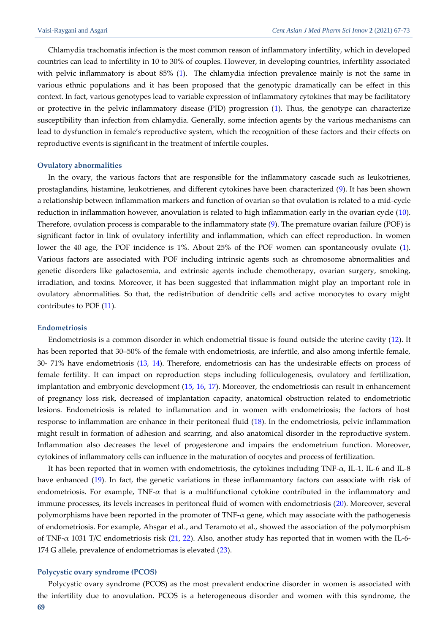Chlamydia trachomatis infection is the most common reason of inflammatory infertility, which in developed countries can lead to infertility in 10 to 30% of couples. However, in developing countries, infertility associated with pelvic inflammatory is about 85% [\(1\)](#page-4-0). The chlamydia infection prevalence mainly is not the same in various ethnic populations and it has been proposed that the genotypic dramatically can be effect in this context. In fact, various genotypes lead to variable expression of inflammatory cytokines that may be facilitatory or protective in the pelvic inflammatory disease (PID) progression [\(1\)](#page-4-0). Thus, the genotype can characterize susceptibility than infection from chlamydia. Generally, some infection agents by the various mechanisms can lead to dysfunction in female's reproductive system, which the recognition of these factors and their effects on reproductive events is significant in the treatment of infertile couples.

#### **Ovulatory abnormalities**

In the ovary, the various factors that are responsible for the inflammatory cascade such as leukotrienes, prostaglandins, histamine, leukotrienes, and different cytokines have been characterized [\(9\)](#page-4-8). It has been shown a relationship between inflammation markers and function of ovarian so that ovulation is related to a mid-cycle reduction in inflammation however, anovulation is related to high inflammation early in the ovarian cycle [\(10\)](#page-4-9). Therefore, ovulation process is comparable to the inflammatory state [\(9\)](#page-4-8). The premature ovarian failure (POF) is significant factor in link of ovulatory infertility and inflammation, which can effect reproduction. In women lower the 40 age, the POF incidence is 1%. About 25% of the POF women can spontaneously ovulate [\(1\)](#page-4-0). Various factors are associated with POF including intrinsic agents such as chromosome abnormalities and genetic disorders like galactosemia, and extrinsic agents include chemotherapy, ovarian surgery, smoking, irradiation, and toxins. Moreover, it has been suggested that inflammation might play an important role in ovulatory abnormalities. So that, the redistribution of dendritic cells and active monocytes to ovary might contributes to POF [\(11\)](#page-4-10).

### **Endometriosis**

Endometriosis is a common disorder in which endometrial tissue is found outside the uterine cavity [\(12\)](#page-4-11). It has been reported that 30–50% of the female with endometriosis, are infertile, and also among infertile female, 30- 71% have endometriosis [\(13,](#page-4-12) [14\)](#page-4-13). Therefore, endometriosis can has the undesirable effects on process of female fertility. It can impact on reproduction steps including folliculogenesis, ovulatory and fertilization, implantation and embryonic development [\(15,](#page-4-14) [16,](#page-4-15) [17\)](#page-5-0). Moreover, the endometriosis can result in enhancement of pregnancy loss risk, decreased of implantation capacity, anatomical obstruction related to endometriotic lesions. Endometriosis is related to inflammation and in women with endometriosis; the factors of host response to inflammation are enhance in their peritoneal fluid [\(18\)](#page-5-1). In the endometriosis, pelvic inflammation might result in formation of adhesion and scarring, and also anatomical disorder in the reproductive system. Inflammation also decreases the level of progesterone and impairs the endometrium function. Moreover, cytokines of inflammatory cells can influence in the maturation of oocytes and process of fertilization.

It has been reported that in women with endometriosis, the cytokines including  $TNF-\alpha$ , IL-1, IL-6 and IL-8 have enhanced [\(19\)](#page-5-2). In fact, the genetic variations in these inflammantory factors can associate with risk of endometriosis. For example,  $TNF-\alpha$  that is a multifunctional cytokine contributed in the inflammatory and immune processes, its levels increases in peritoneal fluid of women with endometriosis [\(20\)](#page-5-3). Moreover, several polymorphisms have been reported in the promoter of TNF- $\alpha$  gene, which may associate with the pathogenesis of endometriosis. For example, Ahsgar et al., and Teramoto et al., showed the association of the polymorphism of TNF-α 1031 T/C endometriosis risk [\(21,](#page-5-4) [22\)](#page-5-5). Also, another study has reported that in women with the IL-6- 174 G allele, prevalence of endometriomas is elevated [\(23\)](#page-5-6).

#### **Polycystic ovary syndrome (PCOS)**

**69** Polycystic ovary syndrome (PCOS) as the most prevalent endocrine disorder in women is associated with the infertility due to anovulation. PCOS is a heterogeneous disorder and women with this syndrome, the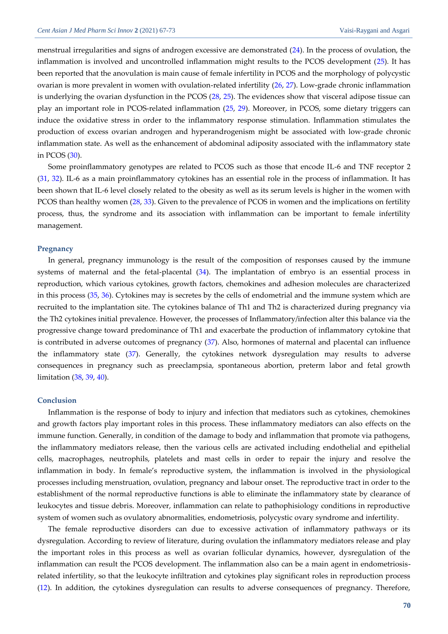menstrual irregularities and signs of androgen excessive are demonstrated [\(24\)](#page-5-7). In the process of ovulation, the inflammation is involved and uncontrolled inflammation might results to the PCOS development [\(25\)](#page-5-8). It has been reported that the anovulation is main cause of female infertility in PCOS and the morphology of polycystic ovarian is more prevalent in women with ovulation-related infertility [\(26,](#page-5-9) [27\)](#page-5-10). Low-grade chronic inflammation is underlying the ovarian dysfunction in the PCOS [\(28,](#page-5-11) [25\)](#page-5-8). The evidences show that visceral adipose tissue can play an important role in PCOS‐related inflammation ([25,](#page-5-8) [29\)](#page-5-12). Moreover, in PCOS, some dietary triggers can induce the oxidative stress in order to the inflammatory response stimulation. Inflammation stimulates the production of excess ovarian androgen and hyperandrogenism might be associated with low-grade chronic inflammation state. As well as the enhancement of abdominal adiposity associated with the inflammatory state in PCOS [\(30\)](#page-5-13).

Some proinflammatory genotypes are related to PCOS such as those that encode IL-6 and TNF receptor 2 [\(31,](#page-5-14) [32](#page-5-15)). IL‐6 as a main proinflammatory cytokines has an essential role in the process of inflammation. It has been shown that IL‐6 level closely related to the obesity as well as its serum levels is higher in the women with PCOS than healthy women [\(28,](#page-5-11) [33\)](#page-6-0). Given to the prevalence of PCOS in women and the implications on fertility process, thus, the syndrome and its association with inflammation can be important to female infertility management.

#### **Pregnancy**

In general, pregnancy immunology is the result of the composition of responses caused by the immune systems of maternal and the fetal-placental [\(34\)](#page-6-1). The implantation of embryo is an essential process in reproduction, which various cytokines, growth factors, chemokines and adhesion molecules are characterized in this process [\(35,](#page-6-2) [36\)](#page-6-3). Cytokines may is secretes by the cells of endometrial and the immune system which are recruited to the implantation site. The cytokines balance of Th1 and Th2 is characterized during pregnancy via the Th2 cytokines initial prevalence. However, the processes of Inflammatory/infection alter this balance via the progressive change toward predominance of Th1 and exacerbate the production of inflammatory cytokine that is contributed in adverse outcomes of pregnancy [\(37\)](#page-6-4). Also, hormones of maternal and placental can influence the inflammatory state [\(37\)](#page-6-4). Generally, the cytokines network dysregulation may results to adverse consequences in pregnancy such as preeclampsia, spontaneous abortion, preterm labor and fetal growth limitation [\(38,](#page-6-5) [39,](#page-6-6) [40\)](#page-6-7).

#### **Conclusion**

Inflammation is the response of body to injury and infection that mediators such as cytokines, chemokines and growth factors play important roles in this process. These inflammatory mediators can also effects on the immune function. Generally, in condition of the damage to body and inflammation that promote via pathogens, the inflammatory mediators release, then the various cells are activated including endothelial and epithelial cells, macrophages, neutrophils, platelets and mast cells in order to repair the injury and resolve the inflammation in body. In female's reproductive system, the inflammation is involved in the physiological processes including menstruation, ovulation, pregnancy and labour onset. The reproductive tract in order to the establishment of the normal reproductive functions is able to eliminate the inflammatory state by clearance of leukocytes and tissue debris. Moreover, inflammation can relate to pathophisiology conditions in reproductive system of women such as ovulatory abnormalities, endometriosis, polycystic ovary syndrome and infertility.

The female reproductive disorders can due to excessive activation of inflammatory pathways or its dysregulation. According to review of literature, during ovulation the inflammatory mediators release and play the important roles in this process as well as ovarian follicular dynamics, however, dysregulation of the inflammation can result the PCOS development. The inflammation also can be a main agent in endometriosisrelated infertility, so that the leukocyte infiltration and cytokines play significant roles in reproduction process [\(12\)](#page-4-11). In addition, the cytokines dysregulation can results to adverse consequences of pregnancy. Therefore,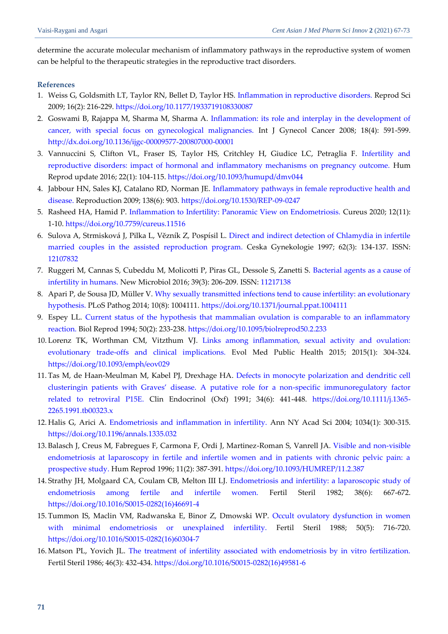determine the accurate molecular mechanism of inflammatory pathways in the reproductive system of women can be helpful to the therapeutic strategies in the reproductive tract disorders.

# **References**

- <span id="page-4-0"></span>1. Weiss G, Goldsmith LT, Taylor RN, Bellet D, Taylor HS. [Inflammation in reproductive disorders.](https://www.researchgate.net/profile/Dominique-Bellet/publication/23999202_Inflammation_in_Reproductive_Disorders/links/02e7e5271475bedf4d000000/Inflammation-in-Reproductive-Disorders.pdf) Reprod Sci 2009; 16(2): 216-229. <https://doi.org/10.1177/1933719108330087>
- <span id="page-4-1"></span>2. Goswami B, Rajappa M, Sharma M, Sharma A. [Inflammation: its role and interplay in the development of](https://d1wqtxts1xzle7.cloudfront.net/48707543/j.1525-1438.2007.01089.x20160909-18637-1kyjw17.pdf?1473443475=&response-content-disposition=inline%3B+filename%3DInflammation_its_role_and_interplay_in_t.pdf&Expires=1618234636&Signature=gVVYp2KZHtXKhkOUh8c8YWriGrwlbtrdP1ZXbuE0h5JJZEFig8Li9E5D0VmmOojDoRhdEv0tIpRo5P1sf2prJk32Fs9XkQYCIznZ6Ob3SgmiZ6j9NDibwj~qFW8kXq3Q-X7ylWAz~BjljLlNhvWHV8R1qe1LClksvDPaUbeEtasv~sPf7~pyLY9KMrNqy3gFA~Pqk0B32X0nynRZKQjv3QPVpAkC3oohE-1mAU6t3M9MMDL9JqfPv-p9qGx9YRYefEqnYp3IDATMLbvDkH0kRiDIPSmozSHMo~EuDFiPcP6Nz8aG5hTMUi7JtAFAbvEJi4wdhFxXSAbmAqhO0RDjHQ__&Key-Pair-Id=APKAJLOHF5GGSLRBV4ZA)  [cancer, with special focus on gynecological malignancies.](https://d1wqtxts1xzle7.cloudfront.net/48707543/j.1525-1438.2007.01089.x20160909-18637-1kyjw17.pdf?1473443475=&response-content-disposition=inline%3B+filename%3DInflammation_its_role_and_interplay_in_t.pdf&Expires=1618234636&Signature=gVVYp2KZHtXKhkOUh8c8YWriGrwlbtrdP1ZXbuE0h5JJZEFig8Li9E5D0VmmOojDoRhdEv0tIpRo5P1sf2prJk32Fs9XkQYCIznZ6Ob3SgmiZ6j9NDibwj~qFW8kXq3Q-X7ylWAz~BjljLlNhvWHV8R1qe1LClksvDPaUbeEtasv~sPf7~pyLY9KMrNqy3gFA~Pqk0B32X0nynRZKQjv3QPVpAkC3oohE-1mAU6t3M9MMDL9JqfPv-p9qGx9YRYefEqnYp3IDATMLbvDkH0kRiDIPSmozSHMo~EuDFiPcP6Nz8aG5hTMUi7JtAFAbvEJi4wdhFxXSAbmAqhO0RDjHQ__&Key-Pair-Id=APKAJLOHF5GGSLRBV4ZA) Int J Gynecol Cancer 2008; 18(4): 591-599. <http://dx.doi.org/10.1136/ijgc-00009577-200807000-00001>
- <span id="page-4-2"></span>3. Vannuccini S, Clifton VL, Fraser IS, Taylor HS, Critchley H, Giudice LC, Petraglia F. [Infertility and](https://watermark.silverchair.com/dmv044.pdf?token=AQECAHi208BE49Ooan9kkhW_Ercy7Dm3ZL_9Cf3qfKAc485ysgAAAqIwggKeBgkqhkiG9w0BBwagggKPMIICiwIBADCCAoQGCSqGSIb3DQEHATAeBglghkgBZQMEAS4wEQQMqNDsXbdFRIEV9UnvAgEQgIICVWR13T-DNNYf43aq1lLpz3f1ojmU7qJ9cAu0Ganh6bzmHTqN050o64gtaly9sUj160i9VIgPnpwI-2DbYR17JYsPZROUZOlhcIDD9qftWM-2Keaa_wRFvr-w_LMDc1mTxcDiTv_rk3Re05ADqC3yWe-DGrH4AceHlOJDZYVDc2fwLKFqlgSdQdbDwxzUU_k9MygAIXHfrFb6K2M0JqBUThrVLX9ZAyghahwbSlSj6rkYHZJdZmNKFKtEsyd12ntUp7UHso355WuPTUMKQHyvNGvboK9nOz3oy80LJRDL1CkMo6jFr-4pE3eAupXuv2UtBbDpx7sWquDRs_CSZH5pNNj2UI3xIRV1VadZQd64y5SA0zt9f7XdiMF3ihOZKsVfLkEOcCmUetO12Qb_aQxgG1YAPMH-0xJwrTm1cxKFMZEX-VY1PoS25srswsRTjMUooUvxLAs42z_SpPtu6qkGzpC7JX2I81v__p5NVg0I8sAhO63t82oVhZlYOID7kdiRnvC2UFvnOoFRNt-eSSLSvvwiVb1vweHN5MY88erUxh-CcVNtWAN9elzpRhWdn8_IG_JBFSTfdx4UkSHjYWu5VU2umML3oGUvF7Oc5VxvA8gO3kq3DvrMhuR9HiefnaTcYulpnqP6AKfYfYGdVQ_ZaP896eve7PTCNoFH6mYD_pVza4r8Nncnm5jRcVm59ac0wwdvwiLueXxnBildY0dEpOH1GI5Ge5IjEgYGTXEwAbRDzoeCW2O8-8O-ZjwtrwCUiga689RiIBCYmJAwt7VWqeHpy_SQhg)  [reproductive disorders: impact of hormonal and inflammatory mechanisms on pregnancy outcome.](https://watermark.silverchair.com/dmv044.pdf?token=AQECAHi208BE49Ooan9kkhW_Ercy7Dm3ZL_9Cf3qfKAc485ysgAAAqIwggKeBgkqhkiG9w0BBwagggKPMIICiwIBADCCAoQGCSqGSIb3DQEHATAeBglghkgBZQMEAS4wEQQMqNDsXbdFRIEV9UnvAgEQgIICVWR13T-DNNYf43aq1lLpz3f1ojmU7qJ9cAu0Ganh6bzmHTqN050o64gtaly9sUj160i9VIgPnpwI-2DbYR17JYsPZROUZOlhcIDD9qftWM-2Keaa_wRFvr-w_LMDc1mTxcDiTv_rk3Re05ADqC3yWe-DGrH4AceHlOJDZYVDc2fwLKFqlgSdQdbDwxzUU_k9MygAIXHfrFb6K2M0JqBUThrVLX9ZAyghahwbSlSj6rkYHZJdZmNKFKtEsyd12ntUp7UHso355WuPTUMKQHyvNGvboK9nOz3oy80LJRDL1CkMo6jFr-4pE3eAupXuv2UtBbDpx7sWquDRs_CSZH5pNNj2UI3xIRV1VadZQd64y5SA0zt9f7XdiMF3ihOZKsVfLkEOcCmUetO12Qb_aQxgG1YAPMH-0xJwrTm1cxKFMZEX-VY1PoS25srswsRTjMUooUvxLAs42z_SpPtu6qkGzpC7JX2I81v__p5NVg0I8sAhO63t82oVhZlYOID7kdiRnvC2UFvnOoFRNt-eSSLSvvwiVb1vweHN5MY88erUxh-CcVNtWAN9elzpRhWdn8_IG_JBFSTfdx4UkSHjYWu5VU2umML3oGUvF7Oc5VxvA8gO3kq3DvrMhuR9HiefnaTcYulpnqP6AKfYfYGdVQ_ZaP896eve7PTCNoFH6mYD_pVza4r8Nncnm5jRcVm59ac0wwdvwiLueXxnBildY0dEpOH1GI5Ge5IjEgYGTXEwAbRDzoeCW2O8-8O-ZjwtrwCUiga689RiIBCYmJAwt7VWqeHpy_SQhg) Hum Reprod update 2016; 22(1): 104-115. <https://doi.org/10.1093/humupd/dmv044>
- <span id="page-4-3"></span>4. Jabbour HN, Sales KJ, Catalano RD, Norman JE. [Inflammatory pathways in female reproductive health and](http://citeseerx.ist.psu.edu/viewdoc/download?doi=10.1.1.871.8334&rep=rep1&type=pdf)  [disease.](http://citeseerx.ist.psu.edu/viewdoc/download?doi=10.1.1.871.8334&rep=rep1&type=pdf) Reproduction 2009; 138(6): 903. <https://doi.org/10.1530/REP-09-0247>
- <span id="page-4-4"></span>5. Rasheed HA, Hamid P. [Inflammation to Infertility: Panoramic View on Endometriosis.](https://assets.cureus.com/uploads/review_article/pdf/42832/1612431464-1612431458-20210204-18590-e2vzw6.pdf) Cureus 2020; 12(11): 1-10. <https://doi.org/10.7759/cureus.11516>
- <span id="page-4-5"></span>6. Sulova A, Strmisková J, Pilka L, Vĕzník Z, Pospísil L. [Direct and indirect detection of Chlamydia in infertile](https://europepmc.org/article/med/9424252)  [married couples in the assisted reproduction program.](https://europepmc.org/article/med/9424252) Ceska Gynekologie 1997; 62(3): 134-137. ISSN: [12107832](https://www.google.com/search?q=issn%12107832)
- <span id="page-4-6"></span>7. Ruggeri M, Cannas S, Cubeddu M, Molicotti P, Piras GL, Dessole S, Zanetti S. [Bacterial agents as a cause of](http://www.newmicrobiologica.org/PUB/allegati_pdf/2016/3/206.pdf)  [infertility in humans.](http://www.newmicrobiologica.org/PUB/allegati_pdf/2016/3/206.pdf) New Microbiol 2016; 39(3): 206-209. ISSN[: 11217138](https://www.google.com/search?q=issn%11217138)
- <span id="page-4-7"></span>8. Apari P, de Sousa JD, Müller V. [Why sexually transmitted infections tend to cause infertility: an evolutionary](https://storage.googleapis.com/plos-corpus-prod/10.1371/journal.ppat.1004111/1/ppat.1004111.pdf?X-Goog-Algorithm=GOOG4-RSA-SHA256&X-Goog-Credential=wombat-sa%40plos-prod.iam.gserviceaccount.com%2F20210413%2Fauto%2Fstorage%2Fgoog4_request&X-Goog-Date=20210413T062421Z&X-Goog-Expires=3600&X-Goog-SignedHeaders=host&X-Goog-Signature=9cea614ebf078a0703282fe3c337cb04bab068d0acfa11e67bd64f66ef9ed7595f644295bf338085707978b60c63e759a1586a23fce7ec5cd90e107bb3fa9deab0eb3088bb42268c39525f3ad9ca2722685600c2d54a512c5aecff7b611669fd5fb6c8b9f35fc958232a6d050c4f18eeb155edf3d3249a8a30f19fe22cfd2c6553782ff75df2ba3df5666e4c0ce2475ec32dcbd51fad283cc41c1efb88d01d314cde429a0caceb371c88fbbf2cdf379e9980fbc3fa587e5ac7c637d58a194fdfaa4ba3c200033c48197d0352c70a86b6f53d28bf789c4aac5beea9d2167c1253d3eb61f31f776270c1d763ea92a8bef3c1dbac4891cd240e690aa282ab63079c)  [hypothesis.](https://storage.googleapis.com/plos-corpus-prod/10.1371/journal.ppat.1004111/1/ppat.1004111.pdf?X-Goog-Algorithm=GOOG4-RSA-SHA256&X-Goog-Credential=wombat-sa%40plos-prod.iam.gserviceaccount.com%2F20210413%2Fauto%2Fstorage%2Fgoog4_request&X-Goog-Date=20210413T062421Z&X-Goog-Expires=3600&X-Goog-SignedHeaders=host&X-Goog-Signature=9cea614ebf078a0703282fe3c337cb04bab068d0acfa11e67bd64f66ef9ed7595f644295bf338085707978b60c63e759a1586a23fce7ec5cd90e107bb3fa9deab0eb3088bb42268c39525f3ad9ca2722685600c2d54a512c5aecff7b611669fd5fb6c8b9f35fc958232a6d050c4f18eeb155edf3d3249a8a30f19fe22cfd2c6553782ff75df2ba3df5666e4c0ce2475ec32dcbd51fad283cc41c1efb88d01d314cde429a0caceb371c88fbbf2cdf379e9980fbc3fa587e5ac7c637d58a194fdfaa4ba3c200033c48197d0352c70a86b6f53d28bf789c4aac5beea9d2167c1253d3eb61f31f776270c1d763ea92a8bef3c1dbac4891cd240e690aa282ab63079c) PLoS Pathog 2014; 10(8): 1004111. <https://doi.org/10.1371/journal.ppat.1004111>
- <span id="page-4-8"></span>9. Espey LL. [Current status of the hypothesis that mammalian ovulation is comparable to an inflammatory](https://watermark.silverchair.com/biolreprod0233.pdf?token=AQECAHi208BE49Ooan9kkhW_Ercy7Dm3ZL_9Cf3qfKAc485ysgAAArcwggKzBgkqhkiG9w0BBwagggKkMIICoAIBADCCApkGCSqGSIb3DQEHATAeBglghkgBZQMEAS4wEQQMjpDQwf2kQBPbZdOeAgEQgIICauL4LFPDEAhzXK51WLzPB3ETbgkarkD9xl3HDXJWsl_fLPAiR_3Gr7kyiKM0fqB1-7tQmQ5HdB9GYhuwGyRVrxdyXIAQ_etiF4t50pqJlyrfsUr5RT6y1hkxuCg_2rSelxaIkG5pYRNS6ZZr6IxMKItkC8AyXSh3wufG39yhl1I3Pc3EiO3ZiItVgTm4fxz_m_C-TlDs_1TXy_ey0MzhdDOgwC45No3_KpLDZV5WfxKki9NbozbEnKNwtxI8FzjkzxpNuYxBEdzVH-92cxbWEzuQRK3fh0Yu_HyOLpLZzEs0hglrZ0j_L20MdjEY5u-XQ6b1rg12zU9J7oBFt5IzlYaV7sRgqQItq4oBlky-KJcOb9nI7r4GhdVR_kRLgQx3T2-eolsOL2CrMcSM-tAtg8rV6Are9AHMHhByzJfcsBrP0tF6JfTV1w5v5kegYRjjFAnkihrGhfJZhk1g7QW7dBwnZ2BtdB_PY8a-97Qv-bcRePFDrXcWWF06baHW4r_5E7JCXhVY7YcpYP3RGXCrROA-_JichBP8c0wGYnK1UP2xwNKYoDlJ3lk10GV_nmduIwG_hy_hAPn1JTnkeZcHDCbo3MSBsQ_jqG465-cTftJV2_-ox87nyqp1TFlI0r9SvmfIiZl-aiJO2Fv-ZH4JdlYHqGLBzsZAktw9ygVoFn4-mOr9gm960SAuERLBE_2VSN7hmtr3qkZJnCVXjE2Ynx3XtPazYAfQIyHbAPnlseiXZJkpuUG4zWO3HT1-pPuEC8ZAsBb4d02BRMEVrf7n_e_MmDpMoLez86ecbxqn0CRf8qHVHf_N2GDZDA)  [reaction.](https://watermark.silverchair.com/biolreprod0233.pdf?token=AQECAHi208BE49Ooan9kkhW_Ercy7Dm3ZL_9Cf3qfKAc485ysgAAArcwggKzBgkqhkiG9w0BBwagggKkMIICoAIBADCCApkGCSqGSIb3DQEHATAeBglghkgBZQMEAS4wEQQMjpDQwf2kQBPbZdOeAgEQgIICauL4LFPDEAhzXK51WLzPB3ETbgkarkD9xl3HDXJWsl_fLPAiR_3Gr7kyiKM0fqB1-7tQmQ5HdB9GYhuwGyRVrxdyXIAQ_etiF4t50pqJlyrfsUr5RT6y1hkxuCg_2rSelxaIkG5pYRNS6ZZr6IxMKItkC8AyXSh3wufG39yhl1I3Pc3EiO3ZiItVgTm4fxz_m_C-TlDs_1TXy_ey0MzhdDOgwC45No3_KpLDZV5WfxKki9NbozbEnKNwtxI8FzjkzxpNuYxBEdzVH-92cxbWEzuQRK3fh0Yu_HyOLpLZzEs0hglrZ0j_L20MdjEY5u-XQ6b1rg12zU9J7oBFt5IzlYaV7sRgqQItq4oBlky-KJcOb9nI7r4GhdVR_kRLgQx3T2-eolsOL2CrMcSM-tAtg8rV6Are9AHMHhByzJfcsBrP0tF6JfTV1w5v5kegYRjjFAnkihrGhfJZhk1g7QW7dBwnZ2BtdB_PY8a-97Qv-bcRePFDrXcWWF06baHW4r_5E7JCXhVY7YcpYP3RGXCrROA-_JichBP8c0wGYnK1UP2xwNKYoDlJ3lk10GV_nmduIwG_hy_hAPn1JTnkeZcHDCbo3MSBsQ_jqG465-cTftJV2_-ox87nyqp1TFlI0r9SvmfIiZl-aiJO2Fv-ZH4JdlYHqGLBzsZAktw9ygVoFn4-mOr9gm960SAuERLBE_2VSN7hmtr3qkZJnCVXjE2Ynx3XtPazYAfQIyHbAPnlseiXZJkpuUG4zWO3HT1-pPuEC8ZAsBb4d02BRMEVrf7n_e_MmDpMoLez86ecbxqn0CRf8qHVHf_N2GDZDA) Biol Reprod 1994; 50(2): 233-238. <https://doi.org/10.1095/biolreprod50.2.233>
- <span id="page-4-9"></span>10. Lorenz TK, Worthman CM, Vitzthum VJ. [Links among inflammation, sexual activity and ovulation:](https://watermark.silverchair.com/eov029.pdf?token=AQECAHi208BE49Ooan9kkhW_Ercy7Dm3ZL_9Cf3qfKAc485ysgAAAp0wggKZBgkqhkiG9w0BBwagggKKMIIChgIBADCCAn8GCSqGSIb3DQEHATAeBglghkgBZQMEAS4wEQQMfirtKMNa3_GswoGqAgEQgIICUDtiir3Oa3IsAUvS9ExE7NjhuKqaWs7Q5r4wLhL4TGDXrRO2nnxLCTK22RUVHwkTPFjJxE6HPP3dv4W1QgovHXKKq_zewcV1SIJRlqdOodycungwUVzI_T5dddlbr4LsQKF7hGW6uFmq1vo2uMv2UdIWo3pq1luT6cI14aO7FL5UmA9ag1-hnmU9uc8G58Fmj5OW39QuLBU9NzHOTF1oWjuWgi6UKPfCIp5MB3fx3PUzVNq9pEvBfO90NbIS1oK1WYe4cB3upZ3rUvRLIVqtXOs-cQj5KZwkzC2cxfaS628bVr_hChbu0f-4XQ38rYXX_AbieUiSc_QtC_kjm6fw649FECzjABnT25bIzepcoVBS6qJbe61cmr7VuOsn_yV4N4OTIy4NGRtm8Y-pF7t5E0T7qT65dUig4Yx0b1CLiJt4blAKV--QPAr-YkScKOMVLt1Fui2KJcQteejWnUECRePbqi_65kZ1Tyzjv_7pYdHH3nF3M2VthXsID9KrQLyhsJjim2dsgIGqpNYBKI7a-aOl-c7Ka4RCTw9jIc39J5WTgYF2g3GZu9eom1NDm1EiVwQsDQm5qCWjQOCa0lO3vj-z3Yvx9pB_ZHsaSz_It-rnNwXEeZ2p7orAJyVb5TQyT4u56pOzZxkJlamUV4WSR37V2jy77_zzAK4U4_vBZj1ADN0ulSYck7UO2BpusEpfExi2YBVDBLxsd32EiGycmHUrLxoMgmp-lGvQVLVJYyyDWtlp9zo0IiqrTG_pqrO4UuWGee9mIYnpy0PTezPT1LM)  [evolutionary trade-offs and clinical implications.](https://watermark.silverchair.com/eov029.pdf?token=AQECAHi208BE49Ooan9kkhW_Ercy7Dm3ZL_9Cf3qfKAc485ysgAAAp0wggKZBgkqhkiG9w0BBwagggKKMIIChgIBADCCAn8GCSqGSIb3DQEHATAeBglghkgBZQMEAS4wEQQMfirtKMNa3_GswoGqAgEQgIICUDtiir3Oa3IsAUvS9ExE7NjhuKqaWs7Q5r4wLhL4TGDXrRO2nnxLCTK22RUVHwkTPFjJxE6HPP3dv4W1QgovHXKKq_zewcV1SIJRlqdOodycungwUVzI_T5dddlbr4LsQKF7hGW6uFmq1vo2uMv2UdIWo3pq1luT6cI14aO7FL5UmA9ag1-hnmU9uc8G58Fmj5OW39QuLBU9NzHOTF1oWjuWgi6UKPfCIp5MB3fx3PUzVNq9pEvBfO90NbIS1oK1WYe4cB3upZ3rUvRLIVqtXOs-cQj5KZwkzC2cxfaS628bVr_hChbu0f-4XQ38rYXX_AbieUiSc_QtC_kjm6fw649FECzjABnT25bIzepcoVBS6qJbe61cmr7VuOsn_yV4N4OTIy4NGRtm8Y-pF7t5E0T7qT65dUig4Yx0b1CLiJt4blAKV--QPAr-YkScKOMVLt1Fui2KJcQteejWnUECRePbqi_65kZ1Tyzjv_7pYdHH3nF3M2VthXsID9KrQLyhsJjim2dsgIGqpNYBKI7a-aOl-c7Ka4RCTw9jIc39J5WTgYF2g3GZu9eom1NDm1EiVwQsDQm5qCWjQOCa0lO3vj-z3Yvx9pB_ZHsaSz_It-rnNwXEeZ2p7orAJyVb5TQyT4u56pOzZxkJlamUV4WSR37V2jy77_zzAK4U4_vBZj1ADN0ulSYck7UO2BpusEpfExi2YBVDBLxsd32EiGycmHUrLxoMgmp-lGvQVLVJYyyDWtlp9zo0IiqrTG_pqrO4UuWGee9mIYnpy0PTezPT1LM) Evol Med Public Health 2015; 2015(1): 304-324. <https://doi.org/10.1093/emph/eov029>
- <span id="page-4-10"></span>11. Tas M, de Haan-Meulman M, Kabel PJ, Drexhage HA. [Defects in monocyte polarization](https://repub.eur.nl/pub/40711/920513_TAS,%20Maarten%20Pieter%20Rinse.pdf#page=55) and dendritic cell [clusteringin patients with Graves' disease. A putative role for a non](https://repub.eur.nl/pub/40711/920513_TAS,%20Maarten%20Pieter%20Rinse.pdf#page=55)-specific immunoregulatory factor [related to retroviral P15E.](https://repub.eur.nl/pub/40711/920513_TAS,%20Maarten%20Pieter%20Rinse.pdf#page=55) Clin Endocrinol (Oxf) 1991; 34(6): 441-448. [https://doi.org/10.1111/j.1365-](https://doi.org/10.1111/j.1365-2265.1991.tb00323.x) [2265.1991.tb00323.x](https://doi.org/10.1111/j.1365-2265.1991.tb00323.x)
- <span id="page-4-11"></span>12. Halis G, Arici A. [Endometriosis and inflammation in infertility.](https://srv2.freepaper.me/n/CZPy84NnaB8q0PMiY71RVQ/PDF/de/def1c373b0d99caf6cfcb09747d037a1.pdf) Ann NY Acad Sci 2004; 1034(1): 300-315. <https://doi.org/10.1196/annals.1335.032>
- <span id="page-4-12"></span>13. Balasch J, Creus M, Fabregues F, Carmona F, Ordi J, Martinez-Roman S, Vanrell JA. [Visible and non-visible](https://watermark.silverchair.com/11-2-387.pdf?token=AQECAHi208BE49Ooan9kkhW_Ercy7Dm3ZL_9Cf3qfKAc485ysgAAAqUwggKhBgkqhkiG9w0BBwagggKSMIICjgIBADCCAocGCSqGSIb3DQEHATAeBglghkgBZQMEAS4wEQQMsEETzDl6DDwsEFelAgEQgIICWC8layZnajQJcnZHVlVNBjtMp0dZQONfnwDoRpjIAKBivnlKy7fKT8L0hg-FJOcyt6qeV_ifhJ3hBk79A-V4TK4KOcWdD-Z8fYDHQIiti_UbzY3PQmDq_bNMRJIgxbcq43zs7gVAmWMr8TIAb762r2P1WwacKXp6cotSA4UJ653JqWvnQRUrfv-xRnOVubtKFckFi_NyclzLR3oL9joHy_znxvX2Mwg6e9iXaBE5oSwZ3EcAB7qm4sVb50XW2bJiHmgu_StH1zzlnltX7QIHVQdYEe_Mp_ksVeexa5ruXyR5NPddo5bT4GTe-Glsd5KL-MpDRzlpbmVVwcqvYPhPd23aODVoJYRHgY8HqP-4roCjlnRcsvIe9IslTDc49bMBrotP2LaZbIFWChGMoYOXf642vV9gdtbpdhMqxUq9TtAuJBWH9_XdyyZAcDFVvxmuVoiPm5kn8XLWdd7khLGMLs8w8euYwyOBon0cTqeAsuBUkevfrxZCKxWkwgO5k7TgSK4u_UcL7Onsp_Z5827vkAzUgyRmaNlUWRvj6-91F0X_JAmNUU9wCUZAWK7HabLmNNWyvU1tYg_cGxu4om6ZQ06qHJW2npCBjkyXAchX_zSqXh-TJyfWwSjcsZl9DN3RUlsp99vKflvV4FlV5GQQ8OajYh_BiJ9tKKtuZdMPm5wP0OrstxKki5pa9A895LyR79qBp7OiGdTEl8yeO9xnoSiwVRTaCVTlapvZI2nItHvo5R1BrW3L2ZWNUkaRhjnnb6fwPjITnxwxxnBp7QDlSMvQyvCFQjC9wQ)  [endometriosis at laparoscopy in fertile and infertile women and in patients with chronic pelvic pain: a](https://watermark.silverchair.com/11-2-387.pdf?token=AQECAHi208BE49Ooan9kkhW_Ercy7Dm3ZL_9Cf3qfKAc485ysgAAAqUwggKhBgkqhkiG9w0BBwagggKSMIICjgIBADCCAocGCSqGSIb3DQEHATAeBglghkgBZQMEAS4wEQQMsEETzDl6DDwsEFelAgEQgIICWC8layZnajQJcnZHVlVNBjtMp0dZQONfnwDoRpjIAKBivnlKy7fKT8L0hg-FJOcyt6qeV_ifhJ3hBk79A-V4TK4KOcWdD-Z8fYDHQIiti_UbzY3PQmDq_bNMRJIgxbcq43zs7gVAmWMr8TIAb762r2P1WwacKXp6cotSA4UJ653JqWvnQRUrfv-xRnOVubtKFckFi_NyclzLR3oL9joHy_znxvX2Mwg6e9iXaBE5oSwZ3EcAB7qm4sVb50XW2bJiHmgu_StH1zzlnltX7QIHVQdYEe_Mp_ksVeexa5ruXyR5NPddo5bT4GTe-Glsd5KL-MpDRzlpbmVVwcqvYPhPd23aODVoJYRHgY8HqP-4roCjlnRcsvIe9IslTDc49bMBrotP2LaZbIFWChGMoYOXf642vV9gdtbpdhMqxUq9TtAuJBWH9_XdyyZAcDFVvxmuVoiPm5kn8XLWdd7khLGMLs8w8euYwyOBon0cTqeAsuBUkevfrxZCKxWkwgO5k7TgSK4u_UcL7Onsp_Z5827vkAzUgyRmaNlUWRvj6-91F0X_JAmNUU9wCUZAWK7HabLmNNWyvU1tYg_cGxu4om6ZQ06qHJW2npCBjkyXAchX_zSqXh-TJyfWwSjcsZl9DN3RUlsp99vKflvV4FlV5GQQ8OajYh_BiJ9tKKtuZdMPm5wP0OrstxKki5pa9A895LyR79qBp7OiGdTEl8yeO9xnoSiwVRTaCVTlapvZI2nItHvo5R1BrW3L2ZWNUkaRhjnnb6fwPjITnxwxxnBp7QDlSMvQyvCFQjC9wQ)  [prospective study.](https://watermark.silverchair.com/11-2-387.pdf?token=AQECAHi208BE49Ooan9kkhW_Ercy7Dm3ZL_9Cf3qfKAc485ysgAAAqUwggKhBgkqhkiG9w0BBwagggKSMIICjgIBADCCAocGCSqGSIb3DQEHATAeBglghkgBZQMEAS4wEQQMsEETzDl6DDwsEFelAgEQgIICWC8layZnajQJcnZHVlVNBjtMp0dZQONfnwDoRpjIAKBivnlKy7fKT8L0hg-FJOcyt6qeV_ifhJ3hBk79A-V4TK4KOcWdD-Z8fYDHQIiti_UbzY3PQmDq_bNMRJIgxbcq43zs7gVAmWMr8TIAb762r2P1WwacKXp6cotSA4UJ653JqWvnQRUrfv-xRnOVubtKFckFi_NyclzLR3oL9joHy_znxvX2Mwg6e9iXaBE5oSwZ3EcAB7qm4sVb50XW2bJiHmgu_StH1zzlnltX7QIHVQdYEe_Mp_ksVeexa5ruXyR5NPddo5bT4GTe-Glsd5KL-MpDRzlpbmVVwcqvYPhPd23aODVoJYRHgY8HqP-4roCjlnRcsvIe9IslTDc49bMBrotP2LaZbIFWChGMoYOXf642vV9gdtbpdhMqxUq9TtAuJBWH9_XdyyZAcDFVvxmuVoiPm5kn8XLWdd7khLGMLs8w8euYwyOBon0cTqeAsuBUkevfrxZCKxWkwgO5k7TgSK4u_UcL7Onsp_Z5827vkAzUgyRmaNlUWRvj6-91F0X_JAmNUU9wCUZAWK7HabLmNNWyvU1tYg_cGxu4om6ZQ06qHJW2npCBjkyXAchX_zSqXh-TJyfWwSjcsZl9DN3RUlsp99vKflvV4FlV5GQQ8OajYh_BiJ9tKKtuZdMPm5wP0OrstxKki5pa9A895LyR79qBp7OiGdTEl8yeO9xnoSiwVRTaCVTlapvZI2nItHvo5R1BrW3L2ZWNUkaRhjnnb6fwPjITnxwxxnBp7QDlSMvQyvCFQjC9wQ) Hum Reprod 1996; 11(2): 387-391. <https://doi.org/10.1093/HUMREP/11.2.387>
- <span id="page-4-13"></span>14. Strathy JH, Molgaard CA, Coulam CB, Melton III LJ. [Endometriosis and infertility: a laparoscopic study of](https://srv2.freepaper.me/n/XC4D2mMwwY-dYLMh0A-0YQ/PDF/03/039c4b808cc31c6171697f710a8cc036.pdf)  [endometriosis among fertile and infertile women.](https://srv2.freepaper.me/n/XC4D2mMwwY-dYLMh0A-0YQ/PDF/03/039c4b808cc31c6171697f710a8cc036.pdf) Fertil Steril 1982; 38(6): 667-672. [https://doi.org/10.1016/S0015-0282\(16\)46691-4](https://doi.org/10.1016/S0015-0282(16)46691-4)
- <span id="page-4-14"></span>15. Tummon IS, Maclin VM, Radwanska E, Binor Z, Dmowski WP. [Occult ovulatory dysfunction in women](https://www.fertstert.org/article/S0015-0282(16)60304-7/pdf)  [with minimal endometriosis or unexplained infertility.](https://www.fertstert.org/article/S0015-0282(16)60304-7/pdf) Fertil Steril 1988; 50(5): 716-720. [https://doi.org/10.1016/S0015-0282\(16\)60304-7](https://doi.org/10.1016/S0015-0282(16)60304-7)
- <span id="page-4-15"></span>16. Matson PL, Yovich JL. [The treatment of infertility associated with endometriosis by in vitro fertilization.](https://www.fertstert.org/article/S0015-0282(16)49581-6/pdf) Fertil Steril 1986; 46(3): 432-434. [https://doi.org/10.1016/S0015-0282\(16\)49581-6](https://doi.org/10.1016/S0015-0282(16)49581-6)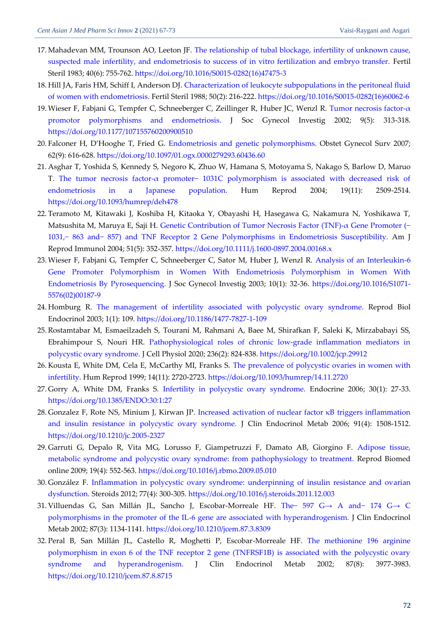- <span id="page-5-0"></span>17. Mahadevan MM, Trounson AO, Leeton JF. [The relationship of tubal blockage, infertility of unknown cause,](https://www.fertstert.org/article/S0015-0282(16)47475-3/pdf)  [suspected male infertility, and endometriosis to success of in vitro fertilization and embryo transfer.](https://www.fertstert.org/article/S0015-0282(16)47475-3/pdf) Fertil Steril 1983; 40(6): 755-762. [https://doi.org/10.1016/S0015-0282\(16\)47475-3](https://doi.org/10.1016/S0015-0282(16)47475-3)
- <span id="page-5-1"></span>18. Hill JA, Faris HM, Schiff I, Anderson DJ. [Characterization of leukocyte subpopulations in the peritoneal fluid](https://freepaper.me/d/PDF/e9/e90e2ef3147389950c8c370fe7110057.pdf?hash=WcXdWxEXai6d-AvMFN6SHg&doi=10.1016/s0015-0282(16)60062-6&title=&save=1%20%20%20%20%20%20%20%20%20%20%20%20%20%20%20%20style=https://www.fertstert.org/article/S0015-0282(16)60062-6/pdf)  [of women with endometriosis.](https://freepaper.me/d/PDF/e9/e90e2ef3147389950c8c370fe7110057.pdf?hash=WcXdWxEXai6d-AvMFN6SHg&doi=10.1016/s0015-0282(16)60062-6&title=&save=1%20%20%20%20%20%20%20%20%20%20%20%20%20%20%20%20style=https://www.fertstert.org/article/S0015-0282(16)60062-6/pdf) Fertil Steril 1988; 50(2): 216-222. [https://doi.org/10.1016/S0015-0282\(16\)60062-6](https://doi.org/10.1016/S0015-0282(16)60062-6)
- <span id="page-5-2"></span>19.Wieser F, Fabjani G, Tempfer C, Schneeberger C, Zeillinger R, Huber JC, Wenzl R. [Tumor necrosis factor-](https://citeseerx.ist.psu.edu/viewdoc/download?doi=10.1.1.836.7747&rep=rep1&type=pdf)α [promotor polymorphisms and endometriosis.](https://citeseerx.ist.psu.edu/viewdoc/download?doi=10.1.1.836.7747&rep=rep1&type=pdf) J Soc Gynecol Investig 2002; 9(5): 313-318. <https://doi.org/10.1177/107155760200900510>
- <span id="page-5-3"></span>20. Falconer H, D'Hooghe T, Fried G. [Endometriosis and genetic polymorphisms.](https://d1wqtxts1xzle7.cloudfront.net/46214764/Endometriosis_and_genetic_polymorphisms20160603-3952-1892moq.pdf?1465013716=&response-content-disposition=inline%3B+filename%3DEndometriosis_and_genetic_polymorphisms.pdf&Expires=1618304302&Signature=bevlJudhWboKWWAJ4kbYG~aZh1stPjWdt5AUUvMRda6ji2rAM5q~tqv00~igTnQ89Iq60xDbEs5KChE5kVkB~taf10eenRdhij42AVp~qF17Wc6UnzKA5rjXCaaTSwpe~ddwoRbq0bfInBsjTVgf9NZzCXjsr9FlZKjvrXEHzb~g0ojTES~XlhLcofIRaf1HfSVDu3P2vIGgoelP1m~5wlEVAg-H8Sn2A5uIsJuZF9LfncKPi9wZPd3cZ8O7RyYinwZhHNz~BZmHu4uhAYFQ0vx~ojZh0HvdX95IvZbOjUBLU76Khg-IZAzq-Hss5vPlyDFzmyH6qwg-VlIMQeoqzA__&Key-Pair-Id=APKAJLOHF5GGSLRBV4ZA) Obstet Gynecol Surv 2007; 62(9): 616-628. <https://doi.org/10.1097/01.ogx.0000279293.60436.60>
- <span id="page-5-4"></span>21. Asghar T, Yoshida S, Kennedy S, Negoro K, Zhuo W, Hamana S, Motoyama S, Nakago S, Barlow D, Maruo T. The tumor necrosis factor-[α promoter− 1031C polymorphism is associated with decreased risk of](https://watermark.silverchair.com/deh478.pdf?token=AQECAHi208BE49Ooan9kkhW_Ercy7Dm3ZL_9Cf3qfKAc485ysgAAAqUwggKhBgkqhkiG9w0BBwagggKSMIICjgIBADCCAocGCSqGSIb3DQEHATAeBglghkgBZQMEAS4wEQQMpyoDhstM2-vP1237AgEQgIICWAiaYs3vT_sMxkMd_irqogYyeA47997pXVKBSAachOvPyMtqrOVf89Q6WeZhJZLYgFjlF-dv07GGgV-r4A3KPLm75RdQm9SOOibcAoGItNikCsZLliXHX3RzZ1D4NIZiYnhgWGoUXq86TNe5dVh_SmskiCI3K-BGwlNIBL_4aMGZq21lzbZ18ogSUyztFmVPekKFn8YF9YjVDAxRswdYSoJynoiTtlrxfYBZ0q0Y65Bg2jiPEt2sWd3fUsZsdYKo-RabZ24YS_dKYu6etkYEECSy2rQW7q4eOMsXcexCLMBIgumf5MHaLE6GNyShQTffQZ6fq_oC61rjcO52cHWKaJaksK-WCoskoFlYhdiKmpvFa7_NIeVzy4G9ecA-FJR3yK8US4E7yVvOnITMv4mT4_pOC2qfGWbb8tL9rZcYeocYwCdug_VbQxNQfK9flw35mU-KPBzWx7GevbAcrjaUbHl6-g9VwVjM8jQxRqLTOgAURQKX7OXN-SjqMcDeOx3yTBwjgXAk3qw2ulHxGZa5nTP07q6DTXqKPai4_GDyvQAyKIaO6euwzVmBgZQiLyEiiN56LwEoievkdSeyChF0hKErzdDVKOfkAYOY3uBTx6Jq-2PEMaAsGrqJQGnJXqRzQ-QIjH38pKTGAZ-sfKSUrhdfLA90c8MGIAo3gOjYcWujJiTvBq6NK-N-t_Asg53HlysYa1QUTydAqOXqQ1lJdtZziUSjhytd3E5dVnfr6PEN4Oljomc-a7PZY8EoXEcRUMW0OvQUu1sBTJBAIlukbugA9pSVUh9SfQ)  [endometriosis in a Japanese population.](https://watermark.silverchair.com/deh478.pdf?token=AQECAHi208BE49Ooan9kkhW_Ercy7Dm3ZL_9Cf3qfKAc485ysgAAAqUwggKhBgkqhkiG9w0BBwagggKSMIICjgIBADCCAocGCSqGSIb3DQEHATAeBglghkgBZQMEAS4wEQQMpyoDhstM2-vP1237AgEQgIICWAiaYs3vT_sMxkMd_irqogYyeA47997pXVKBSAachOvPyMtqrOVf89Q6WeZhJZLYgFjlF-dv07GGgV-r4A3KPLm75RdQm9SOOibcAoGItNikCsZLliXHX3RzZ1D4NIZiYnhgWGoUXq86TNe5dVh_SmskiCI3K-BGwlNIBL_4aMGZq21lzbZ18ogSUyztFmVPekKFn8YF9YjVDAxRswdYSoJynoiTtlrxfYBZ0q0Y65Bg2jiPEt2sWd3fUsZsdYKo-RabZ24YS_dKYu6etkYEECSy2rQW7q4eOMsXcexCLMBIgumf5MHaLE6GNyShQTffQZ6fq_oC61rjcO52cHWKaJaksK-WCoskoFlYhdiKmpvFa7_NIeVzy4G9ecA-FJR3yK8US4E7yVvOnITMv4mT4_pOC2qfGWbb8tL9rZcYeocYwCdug_VbQxNQfK9flw35mU-KPBzWx7GevbAcrjaUbHl6-g9VwVjM8jQxRqLTOgAURQKX7OXN-SjqMcDeOx3yTBwjgXAk3qw2ulHxGZa5nTP07q6DTXqKPai4_GDyvQAyKIaO6euwzVmBgZQiLyEiiN56LwEoievkdSeyChF0hKErzdDVKOfkAYOY3uBTx6Jq-2PEMaAsGrqJQGnJXqRzQ-QIjH38pKTGAZ-sfKSUrhdfLA90c8MGIAo3gOjYcWujJiTvBq6NK-N-t_Asg53HlysYa1QUTydAqOXqQ1lJdtZziUSjhytd3E5dVnfr6PEN4Oljomc-a7PZY8EoXEcRUMW0OvQUu1sBTJBAIlukbugA9pSVUh9SfQ) Hum Reprod 2004; 19(11): 2509-2514. <https://doi.org/10.1093/humrep/deh478>
- <span id="page-5-5"></span>22. Teramoto M, Kitawaki J, Koshiba H, Kitaoka Y, Obayashi H, Hasegawa G, Nakamura N, Yoshikawa T, Matsushita M, Maruya E, Saji H. [Genetic Contribution of Tumor Necrosis Factor \(TNF\)‐α Gene Promoter \(−](https://freepaper.me/d/PDF/4b/4b39c96842dad4421116d6d72445fcfe.pdf?hash=hhX83h4YhvU-LHXulg9rRQ&doi=10.1111/j.1600-0897.2004.00168.x&title=&save=1%20%20%20%20%20%20%20%20%20%20%20%20%20%20%20%20style=)  [1031,− 863 and− 857\) and TNF Receptor 2 Gene Polymorphisms](https://freepaper.me/d/PDF/4b/4b39c96842dad4421116d6d72445fcfe.pdf?hash=hhX83h4YhvU-LHXulg9rRQ&doi=10.1111/j.1600-0897.2004.00168.x&title=&save=1%20%20%20%20%20%20%20%20%20%20%20%20%20%20%20%20style=) in Endometriosis Susceptibility. Am J Reprod Immunol 2004; 51(5): 352-357. <https://doi.org/10.1111/j.1600-0897.2004.00168.x>
- <span id="page-5-6"></span>23.Wieser F, Fabjani G, Tempfer C, Schneeberger C, Sator M, Huber J, Wenzl R. [Analysis of an Interleukin-6](https://link.springer.com/article/10.1016/S1071-5576(02)00187-9#citeas)  [Gene Promoter Polymorphism in Women With Endometriosis Polymorphism in Women With](https://link.springer.com/article/10.1016/S1071-5576(02)00187-9#citeas)  [Endometriosis By Pyrosequencing.](https://link.springer.com/article/10.1016/S1071-5576(02)00187-9#citeas) J Soc Gynecol Investig 2003; 10(1): 32-36. [https://doi.org/10.1016/S1071-](https://doi.org/10.1016/S1071-5576(02)00187-9) [5576\(02\)00187-9](https://doi.org/10.1016/S1071-5576(02)00187-9)
- <span id="page-5-7"></span>24. Homburg R. [The management of infertility associated with polycystic ovary syndrome.](https://rbej.biomedcentral.com/track/pdf/10.1186/1477-7827-1-109.pdf) Reprod Biol Endocrinol 2003; 1(1): 109. <https://doi.org/10.1186/1477-7827-1-109>
- <span id="page-5-8"></span>25.Rostamtabar M, Esmaeilzadeh S, Tourani M, Rahmani A, Baee M, Shirafkan F, Saleki K, Mirzababayi SS, Ebrahimpour S, Nouri HR. [Pathophysiological roles of chronic low‐grade inflammation mediators in](https://srv2.freepaper.me/n/s_oeMgNDf8sBsP_uPRgShQ/PDF/ae/ae95c951947c57a152ee32e6fd9e7cee.pdf)  [polycystic ovary syndrome.](https://srv2.freepaper.me/n/s_oeMgNDf8sBsP_uPRgShQ/PDF/ae/ae95c951947c57a152ee32e6fd9e7cee.pdf) J Cell Physiol 2020; 236(2): 824-838. <https://doi.org/10.1002/jcp.29912>
- <span id="page-5-9"></span>26. Kousta E, White DM, Cela E, McCarthy MI, Franks S. [The prevalence of polycystic ovaries in women with](https://www.researchgate.net/profile/Stephen-Franks/publication/12751493_The_prevalence_of_polycystic_ovaries_with_infertility/links/55df29d108aeaa26af10a0e2/The-prevalence-of-polycystic-ovaries-with-infertility.pdf)  [infertility.](https://www.researchgate.net/profile/Stephen-Franks/publication/12751493_The_prevalence_of_polycystic_ovaries_with_infertility/links/55df29d108aeaa26af10a0e2/The-prevalence-of-polycystic-ovaries-with-infertility.pdf) Hum Reprod 1999; 14(11): 2720-2723. <https://doi.org/10.1093/humrep/14.11.2720>
- <span id="page-5-10"></span>27. Gorry A, White DM, Franks S. [Infertility in polycystic ovary syndrome.](https://www.researchgate.net/profile/Stephen-Franks/publication/6614233_Infertility_in_Polycystic_Ovary_Syndrome_Focus_on_Low-Dose_Gonadotropin_Treatment/links/546dd90e0cf2a7492c560592/Infertility-in-Polycystic-Ovary-Syndrome-Focus-on-Low-Dose-Gonadotropin-Treatment.pdf) Endocrine 2006; 30(1): 27-33. <https://doi.org/10.1385/ENDO:30:1:27>
- <span id="page-5-11"></span>28. Gonzalez F, Rote NS, Minium J, Kirwan JP. [Increased activation of nuclear factor κB triggers inflammation](https://watermark.silverchair.com/jcem1508.pdf?token=AQECAHi208BE49Ooan9kkhW_Ercy7Dm3ZL_9Cf3qfKAc485ysgAAAqAwggKcBgkqhkiG9w0BBwagggKNMIICiQIBADCCAoIGCSqGSIb3DQEHATAeBglghkgBZQMEAS4wEQQMWDMwGbmbHqmqGhsBAgEQgIICUwE69Htogpvpjc9C3BJBB4n0rECuyy6NYKEsQEKyfgbSWwKSK5i_fKvRHqS5YeUAnIi5T0_rPG7ou19Is0aNz7hTrzNygJZ3mLX-fE1xYOY-kHEqc6NTa0eyOJPOKqind-CVZlQMjdvU7OKd1O0wvFn9MhUJ0EK7V6a4ecjgK6dmxAA8HzEDtzcqy-IxIHAKpbrfmHLwVMMpxOiLCQb_cjZ3-uCrbmkVhgUJSWtkHAJTZqBLSecOdtCIFRcg5Irpp92Ljlezouw3YOMDfEZfUdOVigzsQaPxND2pJLQe4bTQjjpJ-nHHLrN9IJXAHxDEeITn2KVGz9I6cULDh_37g0PitoOjHA_9ZZsC5PhVPLayvkBRuhgmHNWtqFDQdU9Lb2-QskCv-sZqnZ9iyG1R3df6p8-P54yPbm6SCXDQo-6JCS3wm6eEcADzMPOGKG7a9UUyRMip0TNck2TJWrBLCfIfFo7Qc2kt-49Ke4mND__u_FABO3viM-PGFJZXu0zi_zlwVZA45lld5o3uEGNduVJ1kp65gWbpGzKddZ1n954mTgz5ZGedEmqciVltWkg0puVvx3rH8ZvjyN-7_bZaYp2q5uLLzi4y1aoeQWT30fMle9qZUuntz6X3nGiSU2E3y9Lajv2-NBlGP5bV17wKBo9FGSs8LPeGtDiOX6ksGOZJg5q_JGW_U20CE4FSEFZbBJlPfVKZQo2NaLlcg1-_FLSXBHcFuO3RSCl-ESm6ekk1gQUNd2pDJnIFghCBmdx7wiabVMBTjGKV-1CwRTVBUN867_w)  [and insulin resistance in polycystic ovary syndrome.](https://watermark.silverchair.com/jcem1508.pdf?token=AQECAHi208BE49Ooan9kkhW_Ercy7Dm3ZL_9Cf3qfKAc485ysgAAAqAwggKcBgkqhkiG9w0BBwagggKNMIICiQIBADCCAoIGCSqGSIb3DQEHATAeBglghkgBZQMEAS4wEQQMWDMwGbmbHqmqGhsBAgEQgIICUwE69Htogpvpjc9C3BJBB4n0rECuyy6NYKEsQEKyfgbSWwKSK5i_fKvRHqS5YeUAnIi5T0_rPG7ou19Is0aNz7hTrzNygJZ3mLX-fE1xYOY-kHEqc6NTa0eyOJPOKqind-CVZlQMjdvU7OKd1O0wvFn9MhUJ0EK7V6a4ecjgK6dmxAA8HzEDtzcqy-IxIHAKpbrfmHLwVMMpxOiLCQb_cjZ3-uCrbmkVhgUJSWtkHAJTZqBLSecOdtCIFRcg5Irpp92Ljlezouw3YOMDfEZfUdOVigzsQaPxND2pJLQe4bTQjjpJ-nHHLrN9IJXAHxDEeITn2KVGz9I6cULDh_37g0PitoOjHA_9ZZsC5PhVPLayvkBRuhgmHNWtqFDQdU9Lb2-QskCv-sZqnZ9iyG1R3df6p8-P54yPbm6SCXDQo-6JCS3wm6eEcADzMPOGKG7a9UUyRMip0TNck2TJWrBLCfIfFo7Qc2kt-49Ke4mND__u_FABO3viM-PGFJZXu0zi_zlwVZA45lld5o3uEGNduVJ1kp65gWbpGzKddZ1n954mTgz5ZGedEmqciVltWkg0puVvx3rH8ZvjyN-7_bZaYp2q5uLLzi4y1aoeQWT30fMle9qZUuntz6X3nGiSU2E3y9Lajv2-NBlGP5bV17wKBo9FGSs8LPeGtDiOX6ksGOZJg5q_JGW_U20CE4FSEFZbBJlPfVKZQo2NaLlcg1-_FLSXBHcFuO3RSCl-ESm6ekk1gQUNd2pDJnIFghCBmdx7wiabVMBTjGKV-1CwRTVBUN867_w) J Clin Endocrinol Metab 2006; 91(4): 1508-1512. <https://doi.org/10.1210/jc.2005-2327>
- <span id="page-5-12"></span>29. Garruti G, Depalo R, Vita MG, Lorusso F, Giampetruzzi F, Damato AB, Giorgino F. [Adipose tissue,](https://www.rbmojournal.com/article/S1472-6483(09)00013-3/pdf)  [metabolic syndrome and polycystic ovary syndrome: from pathophysiology to treatment.](https://www.rbmojournal.com/article/S1472-6483(09)00013-3/pdf) Reprod Biomed online 2009; 19(4): 552-563. <https://doi.org/10.1016/j.rbmo.2009.05.010>
- <span id="page-5-13"></span>30. González F. [Inflammation in polycystic ovary syndrome: underpinning of insulin resistance and ovarian](http://europepmc.org/backend/ptpmcrender.fcgi?accid=PMC3309040&blobtype=pdf)  [dysfunction.](http://europepmc.org/backend/ptpmcrender.fcgi?accid=PMC3309040&blobtype=pdf) Steroids 2012; 77(4): 300-305. <https://doi.org/10.1016/j.steroids.2011.12.003>
- <span id="page-5-14"></span>31. Villuendas G, San Millán JL, Sancho J, Escobar-Morreale HF. The− 597 G→ [A and− 174 G](https://watermark.silverchair.com/jcem1134.pdf?token=AQECAHi208BE49Ooan9kkhW_Ercy7Dm3ZL_9Cf3qfKAc485ysgAAAqIwggKeBgkqhkiG9w0BBwagggKPMIICiwIBADCCAoQGCSqGSIb3DQEHATAeBglghkgBZQMEAS4wEQQMCBU07urgrZ5Zj9oPAgEQgIICVdqxMoq4uif0nzvkR5IgLiXrhxU6T8RNbwNdGFdrOKbcdBS4vvQSTNU58Hf0LTim6Xx0CCTzvFvn-yNR5aq9yBU_eNMtXJPhEgR1IqH0qmuo9MTCsZ_c36yAw5tBie-ew6vdTPbpsMWl1f_OpHtbJtkNE9cnVvtkUJHZl-nMhIcYkFNDqZVxfjo8QNEkDbi2VQPxLHsHkGPZj-IA5DU5UNrF2mDouvj_kFOwvYyL9R8tCJOLifwOHYc1FEX23gX-dnzz737SB1BNrQoVNANmDJqKL8VUL95AftpG9tkb_fKvyf99UU0YJvqxOjiObOXLEvwxcdR8Ij1vXy0e-BRtoAk_iLbxALlgOvXT9G7bQil6wRwh653xdIWY5YprrT4e4w3xp5NSwjS6WruapxfEV_NXChavahxER5CvWAhuVIFjdLnB5e0M-JFFFCVBM891tmCBfGT26B6TFA6b3nsC7LT8mFVvAQrA1wljQJtV4yVu9931cCxgVJ-oCwvYqs9rgfVXc_9hycLOV1CJT72CTfq00SQOFWPNrqTkwIe5p_b0tmjYfozTHf1VFNx_e5SQbE47z0OEBMBYoC3tos4N-hZBLGXWYggTg8C2W5c8iHG3CW3zfXheMIuQy3zirn7Zt02LIf5KzO3nsU1qmr3Pc2kxiXjzAZcZplvkpvvsfL6f9RR48t2GhLq4ZHUVHBXu3XkMPtcDzgf6pPFPXhuxdJBNTwXi7al_HA7JcrcUwcRUY5G2YjZO3j0H-RTsWI_cvkVzuCy89shXzqI1dXQbf4wUnmYN1w)→ C [polymorphisms in the promoter of the IL-6 gene are associated with hyperandrogenism.](https://watermark.silverchair.com/jcem1134.pdf?token=AQECAHi208BE49Ooan9kkhW_Ercy7Dm3ZL_9Cf3qfKAc485ysgAAAqIwggKeBgkqhkiG9w0BBwagggKPMIICiwIBADCCAoQGCSqGSIb3DQEHATAeBglghkgBZQMEAS4wEQQMCBU07urgrZ5Zj9oPAgEQgIICVdqxMoq4uif0nzvkR5IgLiXrhxU6T8RNbwNdGFdrOKbcdBS4vvQSTNU58Hf0LTim6Xx0CCTzvFvn-yNR5aq9yBU_eNMtXJPhEgR1IqH0qmuo9MTCsZ_c36yAw5tBie-ew6vdTPbpsMWl1f_OpHtbJtkNE9cnVvtkUJHZl-nMhIcYkFNDqZVxfjo8QNEkDbi2VQPxLHsHkGPZj-IA5DU5UNrF2mDouvj_kFOwvYyL9R8tCJOLifwOHYc1FEX23gX-dnzz737SB1BNrQoVNANmDJqKL8VUL95AftpG9tkb_fKvyf99UU0YJvqxOjiObOXLEvwxcdR8Ij1vXy0e-BRtoAk_iLbxALlgOvXT9G7bQil6wRwh653xdIWY5YprrT4e4w3xp5NSwjS6WruapxfEV_NXChavahxER5CvWAhuVIFjdLnB5e0M-JFFFCVBM891tmCBfGT26B6TFA6b3nsC7LT8mFVvAQrA1wljQJtV4yVu9931cCxgVJ-oCwvYqs9rgfVXc_9hycLOV1CJT72CTfq00SQOFWPNrqTkwIe5p_b0tmjYfozTHf1VFNx_e5SQbE47z0OEBMBYoC3tos4N-hZBLGXWYggTg8C2W5c8iHG3CW3zfXheMIuQy3zirn7Zt02LIf5KzO3nsU1qmr3Pc2kxiXjzAZcZplvkpvvsfL6f9RR48t2GhLq4ZHUVHBXu3XkMPtcDzgf6pPFPXhuxdJBNTwXi7al_HA7JcrcUwcRUY5G2YjZO3j0H-RTsWI_cvkVzuCy89shXzqI1dXQbf4wUnmYN1w) J Clin Endocrinol Metab 2002; 87(3): 1134-1141. <https://doi.org/10.1210/jcem.87.3.8309>
- <span id="page-5-15"></span>32. Peral B, San Millán JL, Castello R, Moghetti P, Escobar-Morreale HF. [The methionine 196 arginine](https://watermark.silverchair.com/jcem3977.pdf?token=AQECAHi208BE49Ooan9kkhW_Ercy7Dm3ZL_9Cf3qfKAc485ysgAAAqIwggKeBgkqhkiG9w0BBwagggKPMIICiwIBADCCAoQGCSqGSIb3DQEHATAeBglghkgBZQMEAS4wEQQMn2nTb63vWOOBRAXIAgEQgIICVWw9bTK_28ymbgVBDVPk-w7HuJaSHFe8X1ZBFs_rbRVWgkh0Qro36nLSvKE0cWn99kGx-9mEHYayoOvMyqCwFNqwrHiK20hQLxUOkKiEQGTVkF1F26kbxadDQwIFJCB_I5t0noJgRq2nwKq6bkT751pxZPFVD7ccYh3APqVU5iyCpjf8LepInmvWky95VpJEcAcplzYmaRVKWxcDrWiZEhGM_KO0qQagIkagCtslCJiEeZchc2Jb-FKqP8Zg6YAy-acWL4OKjUOuicoB8XvCEyNDOgz3Fbgmsuo8g-tMthbQEnmO61VxrwtYPiSWB_hTx5nDb4-DPEMxp5sPJwfm9KYuUDSVOX97PccwmHAtxK25NInmUkII6XkFmVfrvootB1wqDyTVTjKvPpCauvBbnbtQwHMCpFBTKwLECnQ1A6fJaCZXe4nQLCTdMVh7iJYOkb6xAWwhE-9RfI9eVqEyflldQyMDwTUPGhfiBxdoh1krzNMUZRZCjwouQnDr1uEzIhKcGVYpbPaQGAS-iFZ-FTOmlt5zP9BIx5BQS2LS4nrUn6Ygai960mV0LNhmwEePopGFJsIGCtAMk15d5THRi7p-8sURKLCTL1dTg5arxx3ao7jiUsXJWHkmFejnzvZNyve2qJKv-vmAWxyuN8YZ27xmFvaY_N2-rp6Gg4OylJaZNfmCew0qGoT1gMCQRVpbexIp0zoVT-yXsTJca8uH5lYGykEmVQS6ZAwJGj18Jeh8GRsOrVuDMhBxtjjUXY1HOz9vIdxN_U65ovX_jH4EOIN32G1YXg)  [polymorphism in exon 6 of the TNF receptor 2 gene \(TNFRSF1B\) is associated with the polycystic ovary](https://watermark.silverchair.com/jcem3977.pdf?token=AQECAHi208BE49Ooan9kkhW_Ercy7Dm3ZL_9Cf3qfKAc485ysgAAAqIwggKeBgkqhkiG9w0BBwagggKPMIICiwIBADCCAoQGCSqGSIb3DQEHATAeBglghkgBZQMEAS4wEQQMn2nTb63vWOOBRAXIAgEQgIICVWw9bTK_28ymbgVBDVPk-w7HuJaSHFe8X1ZBFs_rbRVWgkh0Qro36nLSvKE0cWn99kGx-9mEHYayoOvMyqCwFNqwrHiK20hQLxUOkKiEQGTVkF1F26kbxadDQwIFJCB_I5t0noJgRq2nwKq6bkT751pxZPFVD7ccYh3APqVU5iyCpjf8LepInmvWky95VpJEcAcplzYmaRVKWxcDrWiZEhGM_KO0qQagIkagCtslCJiEeZchc2Jb-FKqP8Zg6YAy-acWL4OKjUOuicoB8XvCEyNDOgz3Fbgmsuo8g-tMthbQEnmO61VxrwtYPiSWB_hTx5nDb4-DPEMxp5sPJwfm9KYuUDSVOX97PccwmHAtxK25NInmUkII6XkFmVfrvootB1wqDyTVTjKvPpCauvBbnbtQwHMCpFBTKwLECnQ1A6fJaCZXe4nQLCTdMVh7iJYOkb6xAWwhE-9RfI9eVqEyflldQyMDwTUPGhfiBxdoh1krzNMUZRZCjwouQnDr1uEzIhKcGVYpbPaQGAS-iFZ-FTOmlt5zP9BIx5BQS2LS4nrUn6Ygai960mV0LNhmwEePopGFJsIGCtAMk15d5THRi7p-8sURKLCTL1dTg5arxx3ao7jiUsXJWHkmFejnzvZNyve2qJKv-vmAWxyuN8YZ27xmFvaY_N2-rp6Gg4OylJaZNfmCew0qGoT1gMCQRVpbexIp0zoVT-yXsTJca8uH5lYGykEmVQS6ZAwJGj18Jeh8GRsOrVuDMhBxtjjUXY1HOz9vIdxN_U65ovX_jH4EOIN32G1YXg)  [syndrome and hyperandrogenism.](https://watermark.silverchair.com/jcem3977.pdf?token=AQECAHi208BE49Ooan9kkhW_Ercy7Dm3ZL_9Cf3qfKAc485ysgAAAqIwggKeBgkqhkiG9w0BBwagggKPMIICiwIBADCCAoQGCSqGSIb3DQEHATAeBglghkgBZQMEAS4wEQQMn2nTb63vWOOBRAXIAgEQgIICVWw9bTK_28ymbgVBDVPk-w7HuJaSHFe8X1ZBFs_rbRVWgkh0Qro36nLSvKE0cWn99kGx-9mEHYayoOvMyqCwFNqwrHiK20hQLxUOkKiEQGTVkF1F26kbxadDQwIFJCB_I5t0noJgRq2nwKq6bkT751pxZPFVD7ccYh3APqVU5iyCpjf8LepInmvWky95VpJEcAcplzYmaRVKWxcDrWiZEhGM_KO0qQagIkagCtslCJiEeZchc2Jb-FKqP8Zg6YAy-acWL4OKjUOuicoB8XvCEyNDOgz3Fbgmsuo8g-tMthbQEnmO61VxrwtYPiSWB_hTx5nDb4-DPEMxp5sPJwfm9KYuUDSVOX97PccwmHAtxK25NInmUkII6XkFmVfrvootB1wqDyTVTjKvPpCauvBbnbtQwHMCpFBTKwLECnQ1A6fJaCZXe4nQLCTdMVh7iJYOkb6xAWwhE-9RfI9eVqEyflldQyMDwTUPGhfiBxdoh1krzNMUZRZCjwouQnDr1uEzIhKcGVYpbPaQGAS-iFZ-FTOmlt5zP9BIx5BQS2LS4nrUn6Ygai960mV0LNhmwEePopGFJsIGCtAMk15d5THRi7p-8sURKLCTL1dTg5arxx3ao7jiUsXJWHkmFejnzvZNyve2qJKv-vmAWxyuN8YZ27xmFvaY_N2-rp6Gg4OylJaZNfmCew0qGoT1gMCQRVpbexIp0zoVT-yXsTJca8uH5lYGykEmVQS6ZAwJGj18Jeh8GRsOrVuDMhBxtjjUXY1HOz9vIdxN_U65ovX_jH4EOIN32G1YXg) J Clin Endocrinol Metab 2002; 87(8): 3977-3983. <https://doi.org/10.1210/jcem.87.8.8715>